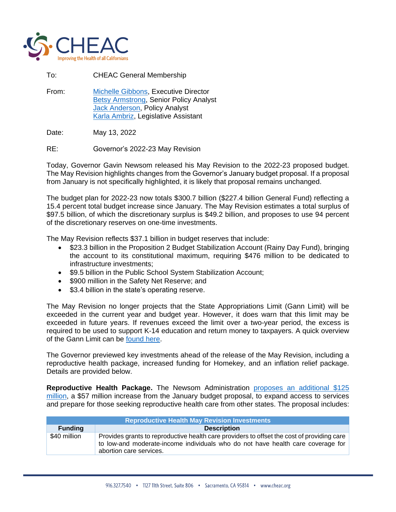

To: CHEAC General Membership

From: [Michelle Gibbons,](mailto:mgibbons@cheac.org) Executive Director [Betsy Armstrong,](mailto:barmstrong@cheac.org) Senior Policy Analyst [Jack Anderson,](mailto:janderson@cheac.org) Policy Analyst [Karla Ambriz,](mailto:admin@cheac.org) Legislative Assistant

Date: May 13, 2022

RE: Governor's 2022-23 May Revision

Today, Governor Gavin Newsom released his May Revision to the 2022-23 proposed budget. The May Revision highlights changes from the Governor's January budget proposal. If a proposal from January is not specifically highlighted, it is likely that proposal remains unchanged.

The budget plan for 2022-23 now totals \$300.7 billion (\$227.4 billion General Fund) reflecting a 15.4 percent total budget increase since January. The May Revision estimates a total surplus of \$97.5 billion, of which the discretionary surplus is \$49.2 billion, and proposes to use 94 percent of the discretionary reserves on one-time investments.

The May Revision reflects \$37.1 billion in budget reserves that include:

- \$23.3 billion in the Proposition 2 Budget Stabilization Account (Rainy Day Fund), bringing the account to its constitutional maximum, requiring \$476 million to be dedicated to infrastructure investments;
- \$9.5 billion in the Public School System Stabilization Account;
- \$900 million in the Safety Net Reserve; and
- \$3.4 billion in the state's operating reserve.

The May Revision no longer projects that the State Appropriations Limit (Gann Limit) will be exceeded in the current year and budget year. However, it does warn that this limit may be exceeded in future years. If revenues exceed the limit over a two-year period, the excess is required to be used to support K-14 education and return money to taxpayers. A quick overview of the Gann Limit can be [found here.](https://calbudgetcenter.org/resources/qa-how-the-gann-limit-threatens-ongoing-investments-for-californians/)

The Governor previewed key investments ahead of the release of the May Revision, including a reproductive health package, increased funding for Homekey, and an inflation relief package. Details are provided below.

**Reproductive Health Package.** The Newsom Administration [proposes an additional](https://www.gov.ca.gov/2022/05/11/governor-newsom-proposes-reproductive-health-package-to-strengthen-protections-expand-access-and-welcome-businesses-from-anti-abortion-states/) \$125 [million,](https://www.gov.ca.gov/2022/05/11/governor-newsom-proposes-reproductive-health-package-to-strengthen-protections-expand-access-and-welcome-businesses-from-anti-abortion-states/) a \$57 million increase from the January budget proposal, to expand access to services and prepare for those seeking reproductive health care from other states. The proposal includes:

|                | <b>Reproductive Health May Revision Investments</b>                                                                                                                                                      |
|----------------|----------------------------------------------------------------------------------------------------------------------------------------------------------------------------------------------------------|
| <b>Funding</b> | <b>Description</b>                                                                                                                                                                                       |
| \$40 million   | Provides grants to reproductive health care providers to offset the cost of providing care<br>to low-and moderate-income individuals who do not have health care coverage for<br>abortion care services. |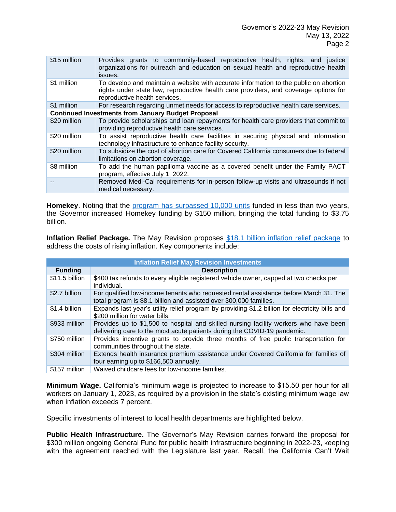| \$15 million | Provides grants to community-based reproductive health, rights, and justice<br>organizations for outreach and education on sexual health and reproductive health<br>issues.                                    |
|--------------|----------------------------------------------------------------------------------------------------------------------------------------------------------------------------------------------------------------|
| \$1 million  | To develop and maintain a website with accurate information to the public on abortion<br>rights under state law, reproductive health care providers, and coverage options for<br>reproductive health services. |
| \$1 million  | For research regarding unmet needs for access to reproductive health care services.                                                                                                                            |
|              | <b>Continued Investments from January Budget Proposal</b>                                                                                                                                                      |
| \$20 million | To provide scholarships and loan repayments for health care providers that commit to<br>providing reproductive health care services.                                                                           |
| \$20 million | To assist reproductive health care facilities in securing physical and information<br>technology infrastructure to enhance facility security.                                                                  |
| \$20 million | To subsidize the cost of abortion care for Covered California consumers due to federal<br>limitations on abortion coverage.                                                                                    |
| \$8 million  | To add the human papilloma vaccine as a covered benefit under the Family PACT<br>program, effective July 1, 2022.                                                                                              |
|              | Removed Medi-Cal requirements for in-person follow-up visits and ultrasounds if not<br>medical necessary.                                                                                                      |

Homekey. Noting that the [program has surpassed 10,000 units](https://www.gov.ca.gov/2022/05/10/governor-newsom-bolsters-homekey-funding-by-150-million-as-state-reaches-milestone-of-10000-new-homeless-housing-units/) funded in less than two years, the Governor increased Homekey funding by \$150 million, bringing the total funding to \$3.75 billion.

**Inflation Relief Package.** The May Revision proposes [\\$18.1 billion inflation relief package](https://www.gov.ca.gov/2022/05/12/governor-newsom-proposes-18-1-billion-inflation-relief-package/) to address the costs of rising inflation. Key components include:

| <b>Inflation Relief May Revision Investments</b> |                                                                                                                                                                   |
|--------------------------------------------------|-------------------------------------------------------------------------------------------------------------------------------------------------------------------|
| <b>Funding</b>                                   | <b>Description</b>                                                                                                                                                |
| \$11.5 billion                                   | \$400 tax refunds to every eligible registered vehicle owner, capped at two checks per<br>individual.                                                             |
| \$2.7 billion                                    | For qualified low-income tenants who requested rental assistance before March 31. The<br>total program is \$8.1 billion and assisted over 300,000 families.       |
| \$1.4 billion                                    | Expands last year's utility relief program by providing \$1.2 billion for electricity bills and<br>\$200 million for water bills.                                 |
| \$933 million                                    | Provides up to \$1,500 to hospital and skilled nursing facility workers who have been<br>delivering care to the most acute patients during the COVID-19 pandemic. |
| \$750 million                                    | Provides incentive grants to provide three months of free public transportation for<br>communities throughout the state.                                          |
| \$304 million                                    | Extends health insurance premium assistance under Covered California for families of<br>four earning up to \$166,500 annually.                                    |
| \$157 million                                    | Waived childcare fees for low-income families.                                                                                                                    |

**Minimum Wage.** California's minimum wage is projected to increase to \$15.50 per hour for all workers on January 1, 2023, as required by a provision in the state's existing minimum wage law when inflation exceeds 7 percent.

Specific investments of interest to local health departments are highlighted below.

**Public Health Infrastructure.** The Governor's May Revision carries forward the proposal for \$300 million ongoing General Fund for public health infrastructure beginning in 2022-23, keeping with the agreement reached with the Legislature last year. Recall, the California Can't Wait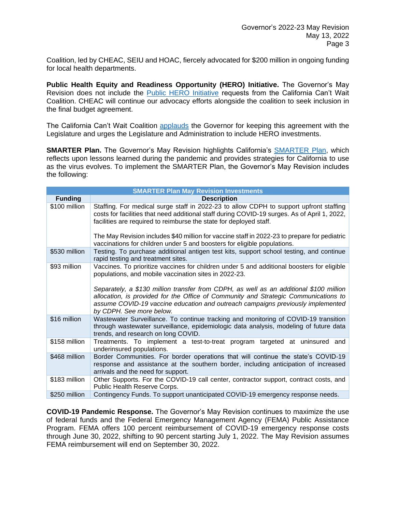Coalition, led by CHEAC, SEIU and HOAC, fiercely advocated for \$200 million in ongoing funding for local health departments.

**Public Health Equity and Readiness Opportunity (HERO) Initiative.** The Governor's May Revision does not include the [Public HERO Initiative](https://cheac.org/wp-content/uploads/2022/01/CACantWait-Budget-Legislative-Proposals-v2-01.11.22-1.pdf) requests from the California Can't Wait Coalition. CHEAC will continue our advocacy efforts alongside the coalition to seek inclusion in the final budget agreement.

The California Can't Wait Coalition [applauds](https://cheac.org/wp-content/uploads/2022/05/CACantWait-May-Revise-Statement-05.13.22.pdf) the Governor for keeping this agreement with the Legislature and urges the Legislature and Administration to include HERO investments.

**SMARTER Plan.** The Governor's May Revision highlights California's [SMARTER Plan,](https://cheac.org/2022/02/18/governor-unveils-covid-19-smarter-plan/) which reflects upon lessons learned during the pandemic and provides strategies for California to use as the virus evolves. To implement the SMARTER Plan, the Governor's May Revision includes the following:

| <b>SMARTER Plan May Revision Investments</b> |                                                                                                                                                                                                                                                              |
|----------------------------------------------|--------------------------------------------------------------------------------------------------------------------------------------------------------------------------------------------------------------------------------------------------------------|
| <b>Funding</b>                               | <b>Description</b>                                                                                                                                                                                                                                           |
| \$100 million                                | Staffing. For medical surge staff in 2022-23 to allow CDPH to support upfront staffing<br>costs for facilities that need additional staff during COVID-19 surges. As of April 1, 2022,<br>facilities are required to reimburse the state for deployed staff. |
|                                              | The May Revision includes \$40 million for vaccine staff in 2022-23 to prepare for pediatric<br>vaccinations for children under 5 and boosters for eligible populations.                                                                                     |
| \$530 million                                | Testing. To purchase additional antigen test kits, support school testing, and continue<br>rapid testing and treatment sites.                                                                                                                                |
| \$93 million                                 | Vaccines. To prioritize vaccines for children under 5 and additional boosters for eligible<br>populations, and mobile vaccination sites in 2022-23.<br>Separately, a \$130 million transfer from CDPH, as well as an additional \$100 million                |
|                                              | allocation, is provided for the Office of Community and Strategic Communications to<br>assume COVID-19 vaccine education and outreach campaigns previously implemented<br>by CDPH. See more below.                                                           |
| \$16 million                                 | Wastewater Surveillance. To continue tracking and monitoring of COVID-19 transition<br>through wastewater surveillance, epidemiologic data analysis, modeling of future data<br>trends, and research on long COVID.                                          |
| \$158 million                                | Treatments. To implement a test-to-treat program targeted at uninsured and<br>underinsured populations.                                                                                                                                                      |
| \$468 million                                | Border Communities. For border operations that will continue the state's COVID-19<br>response and assistance at the southern border, including anticipation of increased<br>arrivals and the need for support.                                               |
| \$183 million                                | Other Supports. For the COVID-19 call center, contractor support, contract costs, and<br>Public Health Reserve Corps.                                                                                                                                        |
| \$250 million                                | Contingency Funds. To support unanticipated COVID-19 emergency response needs.                                                                                                                                                                               |

**COVID-19 Pandemic Response.** The Governor's May Revision continues to maximize the use of federal funds and the Federal Emergency Management Agency (FEMA) Public Assistance Program. FEMA offers 100 percent reimbursement of COVID-19 emergency response costs through June 30, 2022, shifting to 90 percent starting July 1, 2022. The May Revision assumes FEMA reimbursement will end on September 30, 2022.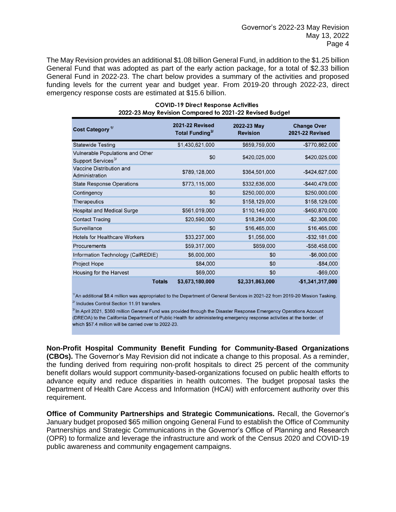The May Revision provides an additional \$1.08 billion General Fund, in addition to the \$1.25 billion General Fund that was adopted as part of the early action package, for a total of \$2.33 billion General Fund in 2022-23. The chart below provides a summary of the activities and proposed funding levels for the current year and budget year. From 2019-20 through 2022-23, direct emergency response costs are estimated at \$15.6 billion.

| Cost Category <sup>1/</sup>                                               | <b>2021-22 Revised</b><br>Total Funding <sup>2/</sup> | 2022-23 May<br><b>Revision</b> | <b>Change Over</b><br><b>2021-22 Revised</b> |
|---------------------------------------------------------------------------|-------------------------------------------------------|--------------------------------|----------------------------------------------|
| <b>Statewide Testing</b>                                                  | \$1,430,621,000                                       | \$659,759,000                  | -\$770,862,000                               |
| <b>Vulnerable Populations and Other</b><br>Support Services <sup>3/</sup> | \$0                                                   | \$420,025,000                  | \$420,025,000                                |
| Vaccine Distribution and<br>Administration                                | \$789,128,000                                         | \$364,501,000                  | $-$424,627,000$                              |
| <b>State Response Operations</b>                                          | \$773,115,000                                         | \$332,636,000                  | $-$440,479,000$                              |
| Contingency                                                               | \$0                                                   | \$250,000,000                  | \$250,000,000                                |
| <b>Therapeutics</b>                                                       | \$0                                                   | \$158,129,000                  | \$158,129,000                                |
| <b>Hospital and Medical Surge</b>                                         | \$561,019,000                                         | \$110,149,000                  | $-$450,870,000$                              |
| <b>Contact Tracing</b>                                                    | \$20,590,000                                          | \$18,284,000                   | $-$2,306,000$                                |
| Surveillance                                                              | \$0                                                   | \$16,465,000                   | \$16,465,000                                 |
| <b>Hotels for Healthcare Workers</b>                                      | \$33,237,000                                          | \$1,056,000                    | $-$ \$32,181,000                             |
| Procurements                                                              | \$59,317,000                                          | \$859,000                      | -\$58,458,000                                |
| Information Technology (CalREDIE)                                         | \$6,000,000                                           | \$0                            | $-$6,000,000$                                |
| Project Hope                                                              | \$84,000                                              | \$0                            | $-$84,000$                                   |
| Housing for the Harvest                                                   | \$69,000                                              | \$0                            | $-$69,000$                                   |
|                                                                           | \$3,673,180,000<br><b>Totals</b>                      | \$2,331,863,000                | $-$1,341,317,000$                            |

## **COVID-19 Direct Response Activities** 2022-23 May Revision Compared to 2021-22 Revised Budget

 $^{\prime\prime}$ An additional \$8.4 million was appropriated to the Department of General Services in 2021-22 from 2019-20 Mission Tasking.  $\frac{y}{y}$  Includes Control Section 11.91 transfers.

 $\frac{37}{1}$ In April 2021, \$360 million General Fund was provided through the Disaster Response Emergency Operations Account (DREOA) to the California Department of Public Health for administering emergency response activities at the border, of which \$57.4 million will be carried over to 2022-23.

**Non-Profit Hospital Community Benefit Funding for Community-Based Organizations (CBOs).** The Governor's May Revision did not indicate a change to this proposal. As a reminder, the funding derived from requiring non-profit hospitals to direct 25 percent of the community benefit dollars would support community-based-organizations focused on public health efforts to advance equity and reduce disparities in health outcomes. The budget proposal tasks the Department of Health Care Access and Information (HCAI) with enforcement authority over this requirement.

**Office of Community Partnerships and Strategic Communications.** Recall, the Governor's January budget proposed \$65 million ongoing General Fund to establish the Office of Community Partnerships and Strategic Communications in the Governor's Office of Planning and Research (OPR) to formalize and leverage the infrastructure and work of the Census 2020 and COVID-19 public awareness and community engagement campaigns.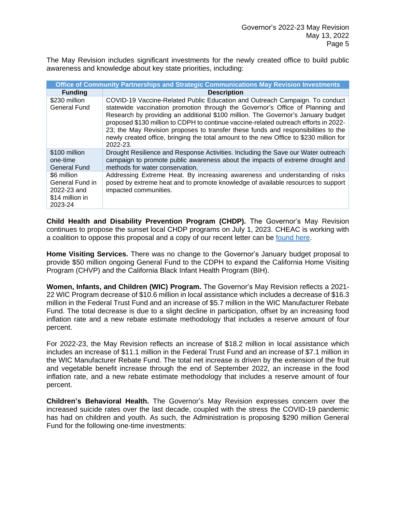The May Revision includes significant investments for the newly created office to build public awareness and knowledge about key state priorities, including:

| Office of Community Partnerships and Strategic Communications May Revision Investments |                                                                                                                                                                                                                                                                                                                                                                                                                                                                                                                                     |  |
|----------------------------------------------------------------------------------------|-------------------------------------------------------------------------------------------------------------------------------------------------------------------------------------------------------------------------------------------------------------------------------------------------------------------------------------------------------------------------------------------------------------------------------------------------------------------------------------------------------------------------------------|--|
| <b>Funding</b>                                                                         | <b>Description</b>                                                                                                                                                                                                                                                                                                                                                                                                                                                                                                                  |  |
| \$230 million<br>General Fund                                                          | COVID-19 Vaccine-Related Public Education and Outreach Campaign. To conduct<br>statewide vaccination promotion through the Governor's Office of Planning and<br>Research by providing an additional \$100 million. The Governor's January budget<br>proposed \$130 million to CDPH to continue vaccine-related outreach efforts in 2022-<br>23; the May Revision proposes to transfer these funds and responsibilities to the<br>newly created office, bringing the total amount to the new Office to \$230 million for<br>2022-23. |  |
| \$100 million<br>one-time<br><b>General Fund</b>                                       | Drought Resilience and Response Activities. Including the Save our Water outreach<br>campaign to promote public awareness about the impacts of extreme drought and<br>methods for water conservation.                                                                                                                                                                                                                                                                                                                               |  |
| \$6 million<br>General Fund in<br>2022-23 and<br>\$14 million in<br>2023-24            | Addressing Extreme Heat. By increasing awareness and understanding of risks<br>posed by extreme heat and to promote knowledge of available resources to support<br>impacted communities.                                                                                                                                                                                                                                                                                                                                            |  |

**Child Health and Disability Prevention Program (CHDP).** The Governor's May Revision continues to propose the sunset local CHDP programs on July 1, 2023. CHEAC is working with a coalition to oppose this proposal and a copy of our recent letter can be [found here.](https://cheac.org/wp-content/uploads/2022/05/CHDP-Joint-Oppose-Letter-5-6-22.pdf)

**Home Visiting Services.** There was no change to the Governor's January budget proposal to provide \$50 million ongoing General Fund to the CDPH to expand the California Home Visiting Program (CHVP) and the California Black Infant Health Program (BIH).

**Women, Infants, and Children (WIC) Program.** The Governor's May Revision reflects a 2021- 22 WIC Program decrease of \$10.6 million in local assistance which includes a decrease of \$16.3 million in the Federal Trust Fund and an increase of \$5.7 million in the WIC Manufacturer Rebate Fund. The total decrease is due to a slight decline in participation, offset by an increasing food inflation rate and a new rebate estimate methodology that includes a reserve amount of four percent.

For 2022-23, the May Revision reflects an increase of \$18.2 million in local assistance which includes an increase of \$11.1 million in the Federal Trust Fund and an increase of \$7.1 million in the WIC Manufacturer Rebate Fund. The total net increase is driven by the extension of the fruit and vegetable benefit increase through the end of September 2022, an increase in the food inflation rate, and a new rebate estimate methodology that includes a reserve amount of four percent.

**Children's Behavioral Health.** The Governor's May Revision expresses concern over the increased suicide rates over the last decade, coupled with the stress the COVID-19 pandemic has had on children and youth. As such, the Administration is proposing \$290 million General Fund for the following one-time investments: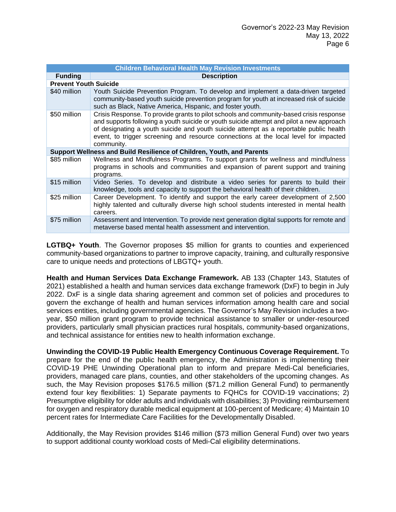| <b>Children Behavioral Health May Revision Investments</b> |                                                                                                                                                                                                                                                                                                                                                                                     |
|------------------------------------------------------------|-------------------------------------------------------------------------------------------------------------------------------------------------------------------------------------------------------------------------------------------------------------------------------------------------------------------------------------------------------------------------------------|
| <b>Funding</b>                                             | <b>Description</b>                                                                                                                                                                                                                                                                                                                                                                  |
| <b>Prevent Youth Suicide</b>                               |                                                                                                                                                                                                                                                                                                                                                                                     |
| \$40 million                                               | Youth Suicide Prevention Program. To develop and implement a data-driven targeted<br>community-based youth suicide prevention program for youth at increased risk of suicide<br>such as Black, Native America, Hispanic, and foster youth.                                                                                                                                          |
| \$50 million                                               | Crisis Response. To provide grants to pilot schools and community-based crisis response<br>and supports following a youth suicide or youth suicide attempt and pilot a new approach<br>of designating a youth suicide and youth suicide attempt as a reportable public health<br>event, to trigger screening and resource connections at the local level for impacted<br>community. |
|                                                            | Support Wellness and Build Resilience of Children, Youth, and Parents                                                                                                                                                                                                                                                                                                               |
| \$85 million                                               | Wellness and Mindfulness Programs. To support grants for wellness and mindfulness<br>programs in schools and communities and expansion of parent support and training<br>programs.                                                                                                                                                                                                  |
| \$15 million                                               | Video Series. To develop and distribute a video series for parents to build their<br>knowledge, tools and capacity to support the behavioral health of their children.                                                                                                                                                                                                              |
| \$25 million                                               | Career Development. To identify and support the early career development of 2,500<br>highly talented and culturally diverse high school students interested in mental health<br>careers.                                                                                                                                                                                            |
| \$75 million                                               | Assessment and Intervention. To provide next generation digital supports for remote and<br>metaverse based mental health assessment and intervention.                                                                                                                                                                                                                               |

**LGTBQ+ Youth**. The Governor proposes \$5 million for grants to counties and experienced community-based organizations to partner to improve capacity, training, and culturally responsive care to unique needs and protections of LBGTQ+ youth.

**Health and Human Services Data Exchange Framework.** AB 133 (Chapter 143, Statutes of 2021) established a health and human services data exchange framework (DxF) to begin in July 2022. DxF is a single data sharing agreement and common set of policies and procedures to govern the exchange of health and human services information among health care and social services entities, including governmental agencies. The Governor's May Revision includes a twoyear, \$50 million grant program to provide technical assistance to smaller or under-resourced providers, particularly small physician practices rural hospitals, community-based organizations, and technical assistance for entities new to health information exchange.

**Unwinding the COVID-19 Public Health Emergency Continuous Coverage Requirement.** To prepare for the end of the public health emergency, the Administration is implementing their COVID-19 PHE Unwinding Operational plan to inform and prepare Medi-Cal beneficiaries, providers, managed care plans, counties, and other stakeholders of the upcoming changes. As such, the May Revision proposes \$176.5 million (\$71.2 million General Fund) to permanently extend four key flexibilities: 1) Separate payments to FQHCs for COVID-19 vaccinations; 2) Presumptive eligibility for older adults and individuals with disabilities; 3) Providing reimbursement for oxygen and respiratory durable medical equipment at 100-percent of Medicare; 4) Maintain 10 percent rates for Intermediate Care Facilities for the Developmentally Disabled.

Additionally, the May Revision provides \$146 million (\$73 million General Fund) over two years to support additional county workload costs of Medi-Cal eligibility determinations.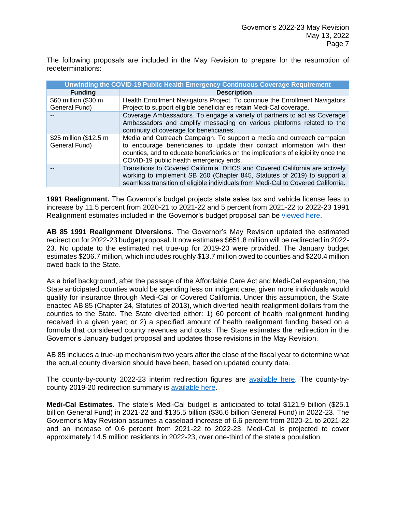The following proposals are included in the May Revision to prepare for the resumption of redeterminations:

| <b>Unwinding the COVID-19 Public Health Emergency Continuous Coverage Requirement</b> |                                                                                                                                                                                                                                                                                    |  |
|---------------------------------------------------------------------------------------|------------------------------------------------------------------------------------------------------------------------------------------------------------------------------------------------------------------------------------------------------------------------------------|--|
| <b>Funding</b>                                                                        | <b>Description</b>                                                                                                                                                                                                                                                                 |  |
| \$60 million (\$30 m<br>General Fund)                                                 | Health Enrollment Navigators Project. To continue the Enrollment Navigators<br>Project to support eligible beneficiaries retain Medi-Cal coverage.                                                                                                                                 |  |
|                                                                                       | Coverage Ambassadors. To engage a variety of partners to act as Coverage<br>Ambassadors and amplify messaging on various platforms related to the<br>continuity of coverage for beneficiaries.                                                                                     |  |
| \$25 million (\$12.5 m<br>General Fund)                                               | Media and Outreach Campaign. To support a media and outreach campaign<br>to encourage beneficiaries to update their contact information with their<br>counties, and to educate beneficiaries on the implications of eligibility once the<br>COVID-19 public health emergency ends. |  |
|                                                                                       | Transitions to Covered California. DHCS and Covered California are actively<br>working to implement SB 260 (Chapter 845, Statutes of 2019) to support a<br>seamless transition of eligible individuals from Medi-Cal to Covered California.                                        |  |

**1991 Realignment.** The Governor's budget projects state sales tax and vehicle license fees to increase by 11.5 percent from 2020-21 to 2021-22 and 5 percent from 2021-22 to 2022-23 1991 Realignment estimates included in the Governor's budget proposal can be [viewed here.](https://cheac.org/wp-content/uploads/2022/05/2022-MR-1991-Realignment-Projections.pdf)

**AB 85 1991 Realignment Diversions.** The Governor's May Revision updated the estimated redirection for 2022-23 budget proposal. It now estimates \$651.8 million will be redirected in 2022- 23. No update to the estimated net true-up for 2019-20 were provided. The January budget estimates \$206.7 million, which includes roughly \$13.7 million owed to counties and \$220.4 million owed back to the State.

As a brief background, after the passage of the Affordable Care Act and Medi-Cal expansion, the State anticipated counties would be spending less on indigent care, given more individuals would qualify for insurance through Medi-Cal or Covered California. Under this assumption, the State enacted AB 85 (Chapter 24, Statutes of 2013), which diverted health realignment dollars from the counties to the State. The State diverted either: 1) 60 percent of health realignment funding received in a given year; or 2) a specified amount of health realignment funding based on a formula that considered county revenues and costs. The State estimates the redirection in the Governor's January budget proposal and updates those revisions in the May Revision.

AB 85 includes a true-up mechanism two years after the close of the fiscal year to determine what the actual county diversion should have been, based on updated county data.

The county-by-county 2022-23 interim redirection figures are [available](https://cheac.org/wp-content/uploads/2022/05/AB-85-2022-23-Interim-Redirection-@-MR.pdf) here. The county-bycounty 2019-20 redirection summary is [available here.](https://cheac.org/wp-content/uploads/2022/01/AB-85-2019-20-Preliminary-Final-Redirection-@-GB.pdf)

**Medi-Cal Estimates.** The state's Medi-Cal budget is anticipated to total \$121.9 billion (\$25.1 billion General Fund) in 2021-22 and \$135.5 billion (\$36.6 billion General Fund) in 2022-23. The Governor's May Revision assumes a caseload increase of 6.6 percent from 2020-21 to 2021-22 and an increase of 0.6 percent from 2021-22 to 2022-23. Medi-Cal is projected to cover approximately 14.5 million residents in 2022-23, over one-third of the state's population.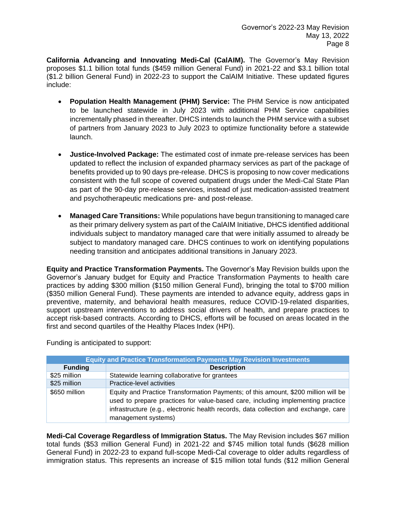**California Advancing and Innovating Medi-Cal (CalAIM).** The Governor's May Revision proposes \$1.1 billion total funds (\$459 million General Fund) in 2021-22 and \$3.1 billion total (\$1.2 billion General Fund) in 2022-23 to support the CalAIM Initiative. These updated figures include:

- **Population Health Management (PHM) Service:** The PHM Service is now anticipated to be launched statewide in July 2023 with additional PHM Service capabilities incrementally phased in thereafter. DHCS intends to launch the PHM service with a subset of partners from January 2023 to July 2023 to optimize functionality before a statewide launch.
- **Justice-Involved Package:** The estimated cost of inmate pre-release services has been updated to reflect the inclusion of expanded pharmacy services as part of the package of benefits provided up to 90 days pre-release. DHCS is proposing to now cover medications consistent with the full scope of covered outpatient drugs under the Medi-Cal State Plan as part of the 90-day pre-release services, instead of just medication-assisted treatment and psychotherapeutic medications pre- and post-release.
- **Managed Care Transitions:** While populations have begun transitioning to managed care as their primary delivery system as part of the CalAIM Initiative, DHCS identified additional individuals subject to mandatory managed care that were initially assumed to already be subject to mandatory managed care. DHCS continues to work on identifying populations needing transition and anticipates additional transitions in January 2023.

**Equity and Practice Transformation Payments.** The Governor's May Revision builds upon the Governor's January budget for Equity and Practice Transformation Payments to health care practices by adding \$300 million (\$150 million General Fund), bringing the total to \$700 million (\$350 million General Fund). These payments are intended to advance equity, address gaps in preventive, maternity, and behavioral health measures, reduce COVID-19-related disparities, support upstream interventions to address social drivers of health, and prepare practices to accept risk-based contracts. According to DHCS, efforts will be focused on areas located in the first and second quartiles of the Healthy Places Index (HPI).

Funding is anticipated to support:

| <b>Equity and Practice Transformation Payments May Revision Investments</b> |                                                                                                                                                                                                                                                                                     |
|-----------------------------------------------------------------------------|-------------------------------------------------------------------------------------------------------------------------------------------------------------------------------------------------------------------------------------------------------------------------------------|
| <b>Funding</b>                                                              | <b>Description</b>                                                                                                                                                                                                                                                                  |
| \$25 million                                                                | Statewide learning collaborative for grantees                                                                                                                                                                                                                                       |
| \$25 million                                                                | Practice-level activities                                                                                                                                                                                                                                                           |
| \$650 million                                                               | Equity and Practice Transformation Payments; of this amount, \$200 million will be<br>used to prepare practices for value-based care, including implementing practice<br>infrastructure (e.g., electronic health records, data collection and exchange, care<br>management systems) |

**Medi-Cal Coverage Regardless of Immigration Status.** The May Revision includes \$67 million total funds (\$53 million General Fund) in 2021-22 and \$745 million total funds (\$628 million General Fund) in 2022-23 to expand full-scope Medi-Cal coverage to older adults regardless of immigration status. This represents an increase of \$15 million total funds (\$12 million General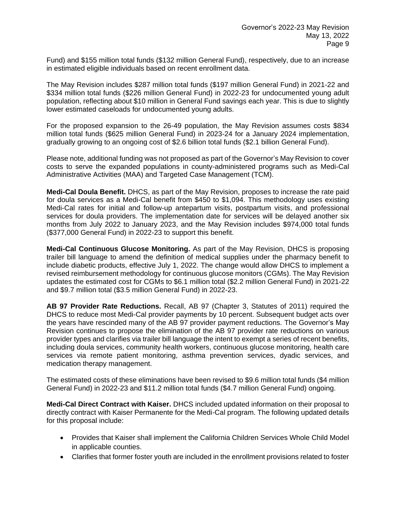Fund) and \$155 million total funds (\$132 million General Fund), respectively, due to an increase in estimated eligible individuals based on recent enrollment data.

The May Revision includes \$287 million total funds (\$197 million General Fund) in 2021-22 and \$334 million total funds (\$226 million General Fund) in 2022-23 for undocumented young adult population, reflecting about \$10 million in General Fund savings each year. This is due to slightly lower estimated caseloads for undocumented young adults.

For the proposed expansion to the 26-49 population, the May Revision assumes costs \$834 million total funds (\$625 million General Fund) in 2023-24 for a January 2024 implementation, gradually growing to an ongoing cost of \$2.6 billion total funds (\$2.1 billion General Fund).

Please note, additional funding was not proposed as part of the Governor's May Revision to cover costs to serve the expanded populations in county-administered programs such as Medi-Cal Administrative Activities (MAA) and Targeted Case Management (TCM).

**Medi-Cal Doula Benefit.** DHCS, as part of the May Revision, proposes to increase the rate paid for doula services as a Medi-Cal benefit from \$450 to \$1,094. This methodology uses existing Medi-Cal rates for initial and follow-up antepartum visits, postpartum visits, and professional services for doula providers. The implementation date for services will be delayed another six months from July 2022 to January 2023, and the May Revision includes \$974,000 total funds (\$377,000 General Fund) in 2022-23 to support this benefit.

**Medi-Cal Continuous Glucose Monitoring.** As part of the May Revision, DHCS is proposing trailer bill language to amend the definition of medical supplies under the pharmacy benefit to include diabetic products, effective July 1, 2022. The change would allow DHCS to implement a revised reimbursement methodology for continuous glucose monitors (CGMs). The May Revision updates the estimated cost for CGMs to \$6.1 million total (\$2.2 million General Fund) in 2021-22 and \$9.7 million total (\$3.5 million General Fund) in 2022-23.

**AB 97 Provider Rate Reductions.** Recall, AB 97 (Chapter 3, Statutes of 2011) required the DHCS to reduce most Medi-Cal provider payments by 10 percent. Subsequent budget acts over the years have rescinded many of the AB 97 provider payment reductions. The Governor's May Revision continues to propose the elimination of the AB 97 provider rate reductions on various provider types and clarifies via trailer bill language the intent to exempt a series of recent benefits, including doula services, community health workers, continuous glucose monitoring, health care services via remote patient monitoring, asthma prevention services, dyadic services, and medication therapy management.

The estimated costs of these eliminations have been revised to \$9.6 million total funds (\$4 million General Fund) in 2022-23 and \$11.2 million total funds (\$4.7 million General Fund) ongoing.

**Medi-Cal Direct Contract with Kaiser.** DHCS included updated information on their proposal to directly contract with Kaiser Permanente for the Medi-Cal program. The following updated details for this proposal include:

- Provides that Kaiser shall implement the California Children Services Whole Child Model in applicable counties.
- Clarifies that former foster youth are included in the enrollment provisions related to foster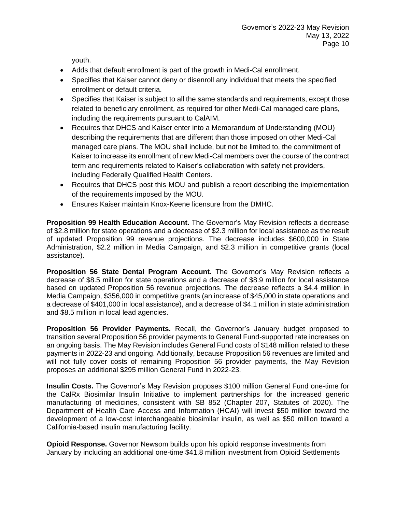youth.

- Adds that default enrollment is part of the growth in Medi-Cal enrollment.
- Specifies that Kaiser cannot deny or disenroll any individual that meets the specified enrollment or default criteria.
- Specifies that Kaiser is subject to all the same standards and requirements, except those related to beneficiary enrollment, as required for other Medi-Cal managed care plans, including the requirements pursuant to CalAIM.
- Requires that DHCS and Kaiser enter into a Memorandum of Understanding (MOU) describing the requirements that are different than those imposed on other Medi-Cal managed care plans. The MOU shall include, but not be limited to, the commitment of Kaiser to increase its enrollment of new Medi-Cal members over the course of the contract term and requirements related to Kaiser's collaboration with safety net providers, including Federally Qualified Health Centers.
- Requires that DHCS post this MOU and publish a report describing the implementation of the requirements imposed by the MOU.
- Ensures Kaiser maintain Knox-Keene licensure from the DMHC.

**Proposition 99 Health Education Account.** The Governor's May Revision reflects a decrease of \$2.8 million for state operations and a decrease of \$2.3 million for local assistance as the result of updated Proposition 99 revenue projections. The decrease includes \$600,000 in State Administration, \$2.2 million in Media Campaign, and \$2.3 million in competitive grants (local assistance).

**Proposition 56 State Dental Program Account.** The Governor's May Revision reflects a decrease of \$8.5 million for state operations and a decrease of \$8.9 million for local assistance based on updated Proposition 56 revenue projections. The decrease reflects a \$4.4 million in Media Campaign, \$356,000 in competitive grants (an increase of \$45,000 in state operations and a decrease of \$401,000 in local assistance), and a decrease of \$4.1 million in state administration and \$8.5 million in local lead agencies.

**Proposition 56 Provider Payments.** Recall, the Governor's January budget proposed to transition several Proposition 56 provider payments to General Fund-supported rate increases on an ongoing basis. The May Revision includes General Fund costs of \$148 million related to these payments in 2022-23 and ongoing. Additionally, because Proposition 56 revenues are limited and will not fully cover costs of remaining Proposition 56 provider payments, the May Revision proposes an additional \$295 million General Fund in 2022-23.

**Insulin Costs.** The Governor's May Revision proposes \$100 million General Fund one-time for the CalRx Biosimilar Insulin Initiative to implement partnerships for the increased generic manufacturing of medicines, consistent with SB 852 (Chapter 207, Statutes of 2020). The Department of Health Care Access and Information (HCAI) will invest \$50 million toward the development of a low-cost interchangeable biosimilar insulin, as well as \$50 million toward a California-based insulin manufacturing facility.

**Opioid Response.** Governor Newsom builds upon his opioid response investments from January by including an additional one-time \$41.8 million investment from Opioid Settlements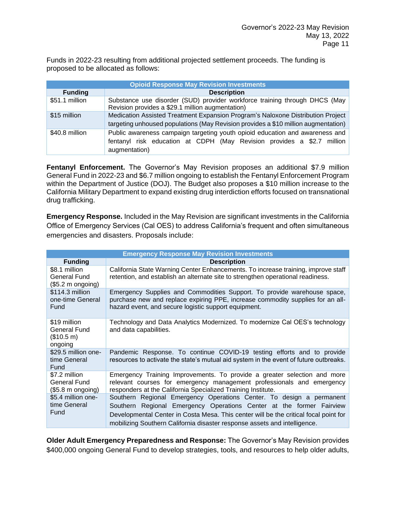Funds in 2022-23 resulting from additional projected settlement proceeds. The funding is proposed to be allocated as follows:

| <b>Opioid Response May Revision Investments</b> |                                                                                                                                                                         |
|-------------------------------------------------|-------------------------------------------------------------------------------------------------------------------------------------------------------------------------|
| <b>Funding</b>                                  | <b>Description</b>                                                                                                                                                      |
| \$51.1 million                                  | Substance use disorder (SUD) provider workforce training through DHCS (May<br>Revision provides a \$29.1 million augmentation)                                          |
| \$15 million                                    | Medication Assisted Treatment Expansion Program's Naloxone Distribution Project<br>targeting unhoused populations (May Revision provides a \$10 million augmentation)   |
| \$40.8 million                                  | Public awareness campaign targeting youth opioid education and awareness and<br>fentanyl risk education at CDPH (May Revision provides a \$2.7 million<br>augmentation) |

**Fentanyl Enforcement.** The Governor's May Revision proposes an additional \$7.9 million General Fund in 2022-23 and \$6.7 million ongoing to establish the Fentanyl Enforcement Program within the Department of Justice (DOJ). The Budget also proposes a \$10 million increase to the California Military Department to expand existing drug interdiction efforts focused on transnational drug trafficking.

**Emergency Response.** Included in the May Revision are significant investments in the California Office of Emergency Services (Cal OES) to address California's frequent and often simultaneous emergencies and disasters. Proposals include:

|                                                                     | <b>Emergency Response May Revision Investments</b>                                                                                                                                                                                                                                                                |
|---------------------------------------------------------------------|-------------------------------------------------------------------------------------------------------------------------------------------------------------------------------------------------------------------------------------------------------------------------------------------------------------------|
| <b>Funding</b>                                                      | <b>Description</b>                                                                                                                                                                                                                                                                                                |
| \$8.1 million<br>General Fund<br>(\$5.2 m ongoing)                  | California State Warning Center Enhancements. To increase training, improve staff<br>retention, and establish an alternate site to strengthen operational readiness.                                                                                                                                              |
| \$114.3 million<br>one-time General<br>Fund                         | Emergency Supplies and Commodities Support. To provide warehouse space,<br>purchase new and replace expiring PPE, increase commodity supplies for an all-<br>hazard event, and secure logistic support equipment.                                                                                                 |
| \$19 million<br>General Fund<br>(\$10.5 m)<br>ongoing               | Technology and Data Analytics Modernized. To modernize Cal OES's technology<br>and data capabilities.                                                                                                                                                                                                             |
| \$29.5 million one-<br>time General<br>Fund                         | Pandemic Response. To continue COVID-19 testing efforts and to provide<br>resources to activate the state's mutual aid system in the event of future outbreaks.                                                                                                                                                   |
| \$7.2 million<br>General Fund<br>$($5.8 \text{ m} \text{ ongoing})$ | Emergency Training Improvements. To provide a greater selection and more<br>relevant courses for emergency management professionals and emergency<br>responders at the California Specialized Training Institute.                                                                                                 |
| \$5.4 million one-<br>time General<br>Fund                          | Southern Regional Emergency Operations Center. To design a permanent<br>Southern Regional Emergency Operations Center at the former Fairview<br>Developmental Center in Costa Mesa. This center will be the critical focal point for<br>mobilizing Southern California disaster response assets and intelligence. |

**Older Adult Emergency Preparedness and Response:** The Governor's May Revision provides \$400,000 ongoing General Fund to develop strategies, tools, and resources to help older adults,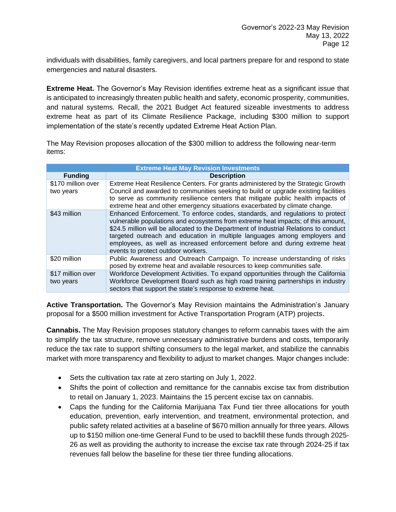individuals with disabilities, family caregivers, and local partners prepare for and respond to state emergencies and natural disasters.

**Extreme Heat.** The Governor's May Revision identifies extreme heat as a significant issue that is anticipated to increasingly threaten public health and safety, economic prosperity, communities, and natural systems. Recall, the 2021 Budget Act featured sizeable investments to address extreme heat as part of its Climate Resilience Package, including \$300 million to support implementation of the state's recently updated Extreme Heat Action Plan.

The May Revision proposes allocation of the \$300 million to address the following near-term items:

| <b>Extreme Heat May Revision Investments</b> |                                                                                                                                                                                                                                                                                                                                                                                                                                                             |  |
|----------------------------------------------|-------------------------------------------------------------------------------------------------------------------------------------------------------------------------------------------------------------------------------------------------------------------------------------------------------------------------------------------------------------------------------------------------------------------------------------------------------------|--|
| <b>Funding</b>                               | <b>Description</b>                                                                                                                                                                                                                                                                                                                                                                                                                                          |  |
| \$170 million over<br>two years              | Extreme Heat Resilience Centers. For grants administered by the Strategic Growth<br>Council and awarded to communities seeking to build or upgrade existing facilities<br>to serve as community resilience centers that mitigate public health impacts of<br>extreme heat and other emergency situations exacerbated by climate change.                                                                                                                     |  |
| \$43 million                                 | Enhanced Enforcement. To enforce codes, standards, and regulations to protect<br>vulnerable populations and ecosystems from extreme heat impacts; of this amount,<br>\$24.5 million will be allocated to the Department of Industrial Relations to conduct<br>targeted outreach and education in multiple languages among employers and<br>employees, as well as increased enforcement before and during extreme heat<br>events to protect outdoor workers. |  |
| \$20 million                                 | Public Awareness and Outreach Campaign. To increase understanding of risks<br>posed by extreme heat and available resources to keep communities safe.                                                                                                                                                                                                                                                                                                       |  |
| \$17 million over<br>two years               | Workforce Development Activities. To expand opportunities through the California<br>Workforce Development Board such as high road training partnerships in industry<br>sectors that support the state's response to extreme heat.                                                                                                                                                                                                                           |  |

**Active Transportation.** The Governor's May Revision maintains the Administration's January proposal for a \$500 million investment for Active Transportation Program (ATP) projects.

**Cannabis.** The May Revision proposes statutory changes to reform cannabis taxes with the aim to simplify the tax structure, remove unnecessary administrative burdens and costs, temporarily reduce the tax rate to support shifting consumers to the legal market, and stabilize the cannabis market with more transparency and flexibility to adjust to market changes. Major changes include:

- Sets the cultivation tax rate at zero starting on July 1, 2022.
- Shifts the point of collection and remittance for the cannabis excise tax from distribution to retail on January 1, 2023. Maintains the 15 percent excise tax on cannabis.
- Caps the funding for the California Marijuana Tax Fund tier three allocations for youth education, prevention, early intervention, and treatment, environmental protection, and public safety related activities at a baseline of \$670 million annually for three years. Allows up to \$150 million one-time General Fund to be used to backfill these funds through 2025- 26 as well as providing the authority to increase the excise tax rate through 2024-25 if tax revenues fall below the baseline for these tier three funding allocations.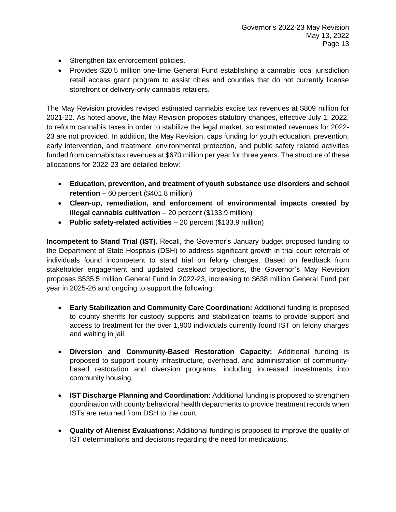- Strengthen tax enforcement policies.
- Provides \$20.5 million one-time General Fund establishing a cannabis local jurisdiction retail access grant program to assist cities and counties that do not currently license storefront or delivery-only cannabis retailers.

The May Revision provides revised estimated cannabis excise tax revenues at \$809 million for 2021-22. As noted above, the May Revision proposes statutory changes, effective July 1, 2022, to reform cannabis taxes in order to stabilize the legal market, so estimated revenues for 2022- 23 are not provided. In addition, the May Revision, caps funding for youth education, prevention, early intervention, and treatment, environmental protection, and public safety related activities funded from cannabis tax revenues at \$670 million per year for three years. The structure of these allocations for 2022-23 are detailed below:

- **Education, prevention, and treatment of youth substance use disorders and school retention** – 60 percent (\$401.8 million)
- **Clean-up, remediation, and enforcement of environmental impacts created by illegal cannabis cultivation** – 20 percent (\$133.9 million)
- **Public safety-related activities** 20 percent (\$133.9 million)

**Incompetent to Stand Trial (IST).** Recall, the Governor's January budget proposed funding to the Department of State Hospitals (DSH) to address significant growth in trial court referrals of individuals found incompetent to stand trial on felony charges. Based on feedback from stakeholder engagement and updated caseload projections, the Governor's May Revision proposes \$535.5 million General Fund in 2022-23, increasing to \$638 million General Fund per year in 2025-26 and ongoing to support the following:

- **Early Stabilization and Community Care Coordination:** Additional funding is proposed to county sheriffs for custody supports and stabilization teams to provide support and access to treatment for the over 1,900 individuals currently found IST on felony charges and waiting in jail.
- **Diversion and Community-Based Restoration Capacity:** Additional funding is proposed to support county infrastructure, overhead, and administration of communitybased restoration and diversion programs, including increased investments into community housing.
- **IST Discharge Planning and Coordination:** Additional funding is proposed to strengthen coordination with county behavioral health departments to provide treatment records when ISTs are returned from DSH to the court.
- **Quality of Alienist Evaluations:** Additional funding is proposed to improve the quality of IST determinations and decisions regarding the need for medications.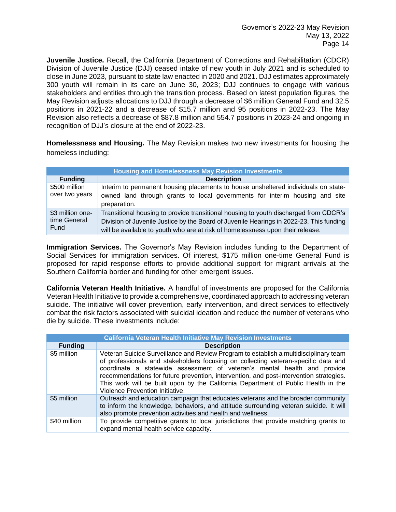**Juvenile Justice.** Recall, the California Department of Corrections and Rehabilitation (CDCR) Division of Juvenile Justice (DJJ) ceased intake of new youth in July 2021 and is scheduled to close in June 2023, pursuant to state law enacted in 2020 and 2021. DJJ estimates approximately 300 youth will remain in its care on June 30, 2023; DJJ continues to engage with various stakeholders and entities through the transition process. Based on latest population figures, the May Revision adjusts allocations to DJJ through a decrease of \$6 million General Fund and 32.5 positions in 2021-22 and a decrease of \$15.7 million and 95 positions in 2022-23. The May Revision also reflects a decrease of \$87.8 million and 554.7 positions in 2023-24 and ongoing in recognition of DJJ's closure at the end of 2022-23.

**Homelessness and Housing.** The May Revision makes two new investments for housing the homeless including:

| <b>Housing and Homelessness May Revision Investments</b> |                                                                                                                                                                                                                                                                   |
|----------------------------------------------------------|-------------------------------------------------------------------------------------------------------------------------------------------------------------------------------------------------------------------------------------------------------------------|
| <b>Funding</b>                                           | <b>Description</b>                                                                                                                                                                                                                                                |
| \$500 million<br>over two years                          | Interim to permanent housing placements to house unsheltered individuals on state-<br>owned land through grants to local governments for interim housing and site<br>preparation.                                                                                 |
| \$3 million one-<br>time General<br>Fund                 | Transitional housing to provide transitional housing to youth discharged from CDCR's<br>Division of Juvenile Justice by the Board of Juvenile Hearings in 2022-23. This funding<br>will be available to youth who are at risk of homelessness upon their release. |

**Immigration Services.** The Governor's May Revision includes funding to the Department of Social Services for immigration services. Of interest, \$175 million one-time General Fund is proposed for rapid response efforts to provide additional support for migrant arrivals at the Southern California border and funding for other emergent issues.

**California Veteran Health Initiative.** A handful of investments are proposed for the California Veteran Health Initiative to provide a comprehensive, coordinated approach to addressing veteran suicide. The initiative will cover prevention, early intervention, and direct services to effectively combat the risk factors associated with suicidal ideation and reduce the number of veterans who die by suicide. These investments include:

| <b>California Veteran Health Initiative May Revision Investments</b> |                                                                                                                                                                                                                                                                                                                                                                                                                                                                           |
|----------------------------------------------------------------------|---------------------------------------------------------------------------------------------------------------------------------------------------------------------------------------------------------------------------------------------------------------------------------------------------------------------------------------------------------------------------------------------------------------------------------------------------------------------------|
| <b>Funding</b>                                                       | <b>Description</b>                                                                                                                                                                                                                                                                                                                                                                                                                                                        |
| \$5 million                                                          | Veteran Suicide Surveillance and Review Program to establish a multidisciplinary team<br>of professionals and stakeholders focusing on collecting veteran-specific data and<br>coordinate a statewide assessment of veteran's mental health and provide<br>recommendations for future prevention, intervention, and post-intervention strategies.<br>This work will be built upon by the California Department of Public Health in the<br>Violence Prevention Initiative. |
| \$5 million                                                          | Outreach and education campaign that educates veterans and the broader community<br>to inform the knowledge, behaviors, and attitude surrounding veteran suicide. It will<br>also promote prevention activities and health and wellness.                                                                                                                                                                                                                                  |
| \$40 million                                                         | To provide competitive grants to local jurisdictions that provide matching grants to<br>expand mental health service capacity.                                                                                                                                                                                                                                                                                                                                            |